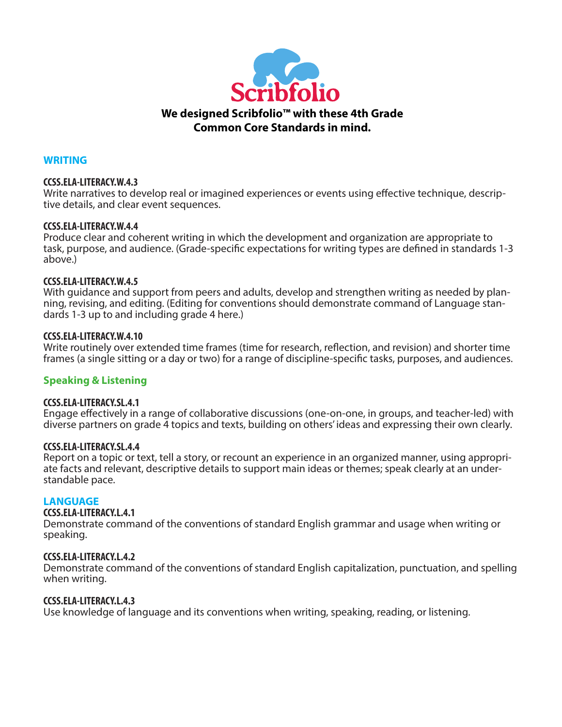

#### **WRITING**

#### **CCSS.ELA-LITERACY.W.4.3**

Write narratives to develop real or imagined experiences or events using effective technique, descriptive details, and clear event sequences.

#### **CCSS.ELA-LITERACY.W.4.4**

Produce clear and coherent writing in which the development and organization are appropriate to task, purpose, and audience. (Grade-specific expectations for writing types are defined in standards 1-3 above.)

#### **CCSS.ELA-LITERACY.W.4.5**

With guidance and support from peers and adults, develop and strengthen writing as needed by planning, revising, and editing. (Editing for conventions should demonstrate command of Language standards 1-3 up to and including grade 4 here.)

#### **CCSS.ELA-LITERACY.W.4.10**

Write routinely over extended time frames (time for research, reflection, and revision) and shorter time frames (a single sitting or a day or two) for a range of discipline-specific tasks, purposes, and audiences.

#### **Speaking & Listening**

#### **CCSS.ELA-LITERACY.SL.4.1**

Engage effectively in a range of collaborative discussions (one-on-one, in groups, and teacher-led) with diverse partners on grade 4 topics and texts, building on others' ideas and expressing their own clearly.

#### **CCSS.ELA-LITERACY.SL.4.4**

Report on a topic or text, tell a story, or recount an experience in an organized manner, using appropriate facts and relevant, descriptive details to support main ideas or themes; speak clearly at an understandable pace.

#### **LANGUAGE**

#### **CCSS.ELA-LITERACY.L.4.1**

Demonstrate command of the conventions of standard English grammar and usage when writing or speaking.

#### **CCSS.ELA-LITERACY.L.4.2**

Demonstrate command of the conventions of standard English capitalization, punctuation, and spelling when writing.

#### **CCSS.ELA-LITERACY.L.4.3**

Use knowledge of language and its conventions when writing, speaking, reading, or listening.